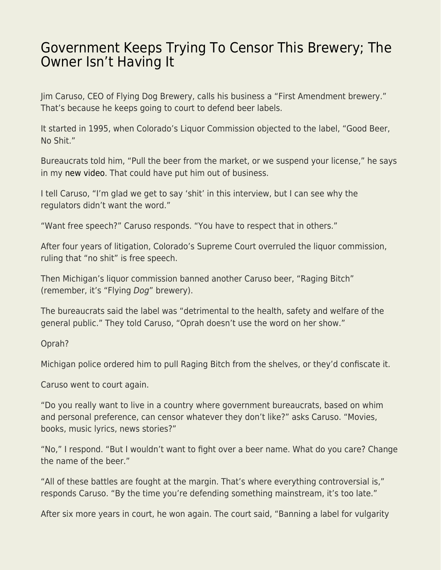## [Government Keeps Trying To Censor This Brewery; The](https://everything-voluntary.com/government-keeps-trying-to-censor-this-brewery-the-owner-isnt-having-it) [Owner Isn't Having It](https://everything-voluntary.com/government-keeps-trying-to-censor-this-brewery-the-owner-isnt-having-it)

Jim Caruso, CEO of Flying Dog Brewery, calls his business a "First Amendment brewery." That's because he keeps going to court to defend beer labels.

It started in 1995, when Colorado's Liquor Commission objected to the label, "Good Beer, No Shit."

Bureaucrats told him, "Pull the beer from the market, or we suspend your license," he says in my [new video.](https://www.youtube.com/watch?v=93rTgbDBu7k) That could have put him out of business.

I tell Caruso, "I'm glad we get to say 'shit' in this interview, but I can see why the regulators didn't want the word."

"Want free speech?" Caruso responds. "You have to respect that in others."

After four years of litigation, Colorado's Supreme Court overruled the liquor commission, ruling that "no shit" is free speech.

Then Michigan's liquor commission banned another Caruso beer, "Raging Bitch" (remember, it's "Flying Dog" brewery).

The bureaucrats said the label was "detrimental to the health, safety and welfare of the general public." They told Caruso, "Oprah doesn't use the word on her show."

Oprah?

Michigan police ordered him to pull Raging Bitch from the shelves, or they'd confiscate it.

Caruso went to court again.

"Do you really want to live in a country where government bureaucrats, based on whim and personal preference, can censor whatever they don't like?" asks Caruso. "Movies, books, music lyrics, news stories?"

"No," I respond. "But I wouldn't want to fight over a beer name. What do you care? Change the name of the beer."

"All of these battles are fought at the margin. That's where everything controversial is," responds Caruso. "By the time you're defending something mainstream, it's too late."

After six more years in court, he won again. The court said, "Banning a label for vulgarity